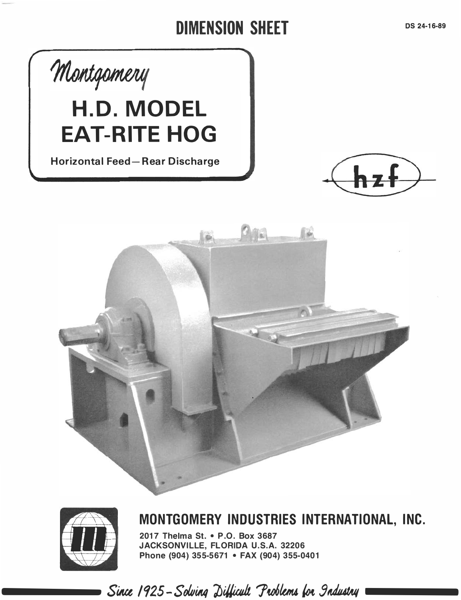## DIMENSION SHEET





----

MONTGOMERY INDUSTRIES INTERNATIONAL, INC.

2017 Thelma St. • P.O. Box 3687 JACKSONVILLE, FLORIDA U.S.A. 32206 Phone (904) 355-5671 • FAX (904) 355-0401

Since 1925 - Solving Difficult Problems for Industry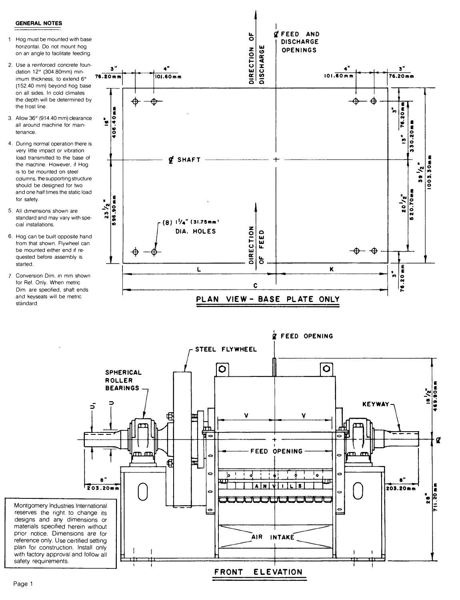## **GENERAL NOTES**

- 1 Hog must be mounted with base horizontal. Do not mount hog on an angle to facilitate feeding
- 2. Use a reinforced concrete foundation 12" (304.80mm) minimum thickness, to extend 6" (152.40 mm) beyond hog base on all sides. In cold climates the depth will be determined by the frost line.
- 3. Allow 36" (914.40 mm) clearance all around machine for maintenance
- 4. During normal operation there is very little impact or vibration load transmitted to the base of the machine. However, if Hog is to be mounted on steel columns, the supporting structure should be designed for two and one half times the static load for safety.
- 5. All dimensions shown are standard and may vary with special installations.
- 6. Hog can be built opposite hand from that shown. Flywheel can be mounted either end if requested before assembly is started.
- 7 Conversion Dim. in mm shown for Ref. Only. When metric Dim. are specified, shaft ends and keyseats will be metric standard



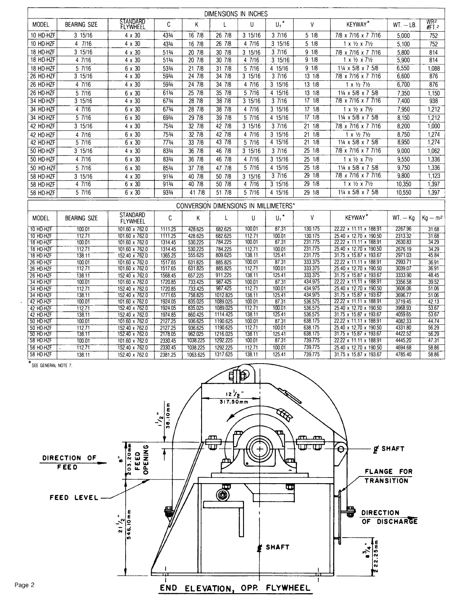|                        |                     |                                    |                    |                     | DIMENSIONS IN INCHES |                  |                                       |                     |                                                      |                    |                 |
|------------------------|---------------------|------------------------------------|--------------------|---------------------|----------------------|------------------|---------------------------------------|---------------------|------------------------------------------------------|--------------------|-----------------|
| <b>MODEL</b>           | <b>BEARING SIZE</b> | STANDARD                           | C                  | K                   | Ł                    | $\mathsf{U}$     | $U,^{\star}$                          | V                   | <b>KEYWAY*</b>                                       |                    | WR <sub>2</sub> |
|                        |                     | FLYWHEEL                           |                    |                     |                      |                  |                                       |                     |                                                      | $WT. - LB.$        | $#FT$ 2         |
| 10 HD-HZF              | 3 15/16             | $4 \times 30$                      | 433/4              | 16 7/8              | 26 7/8               | 3 15/16          | 37/16                                 | 5 1/8               | 7/8 x 7/16 x 7 7/16                                  | 5.000              | 752             |
| 10 HD-HZF              | 4 7/16              | $4 \times 30$                      | 433/4              | 16 7/8              | 26 7/8               | 4 7/16           | 3 15/16                               | 51/8                | $1 \times \frac{1}{2} \times \frac{71}{2}$           | 5,100              | 752             |
| 18 HD-HZF              | 3 15/16             | $4 \times 30$                      | 513/4              | 20 7/8              | 30 7/8               | 3 15/16          | 37/16                                 | 9 1/8               | 7/8 x 7/16 x 7 7/16                                  | 5,800              | 814             |
| 18 HD-HZF              | 4 7/16              | $4 \times 30$                      | 513/4              | 20 7/8              | 30 7/8               | 4 7/16           | 3 15/16                               | 9 1/8               | $1 \times \frac{1}{2} \times \frac{71}{2}$           | 5,900              | 814             |
| 18 HD-HZF              | $5\overline{7/16}$  | 6 x 30                             | 533/4              | 21 7/8              | $31 \ 718$           | 5 7/16           | 4 15/16                               | 91/8                | 11/4 x 5/8 x 7 5/8                                   | 6,550              | 1,088           |
| 26 HD-HZF              | 3 15/16             | $4 \times 30$                      | 593/4              | 24 7/8              | 34 7/8               | 3 15/16          | 37/16                                 | 13 1/8              | 7/8 x 7/16 x 7 7/16                                  | 6,600              | 876             |
| 26 HD-HZF              | 47/16               | $4 \times 30$                      | 593/4              | 24718               | 34 7/8               | 4 7/16           | $3 \overline{15/16}$                  | $13 \overline{1/8}$ | $1 \times \frac{1}{2}$ 71/2                          | 6,700              | 876             |
| 26 HD-HZF              | $\frac{1}{5}$ 7/16  | 6 x 30                             | 613/4              | 25 7/8              | 35 7/8               | 5 7/16           | 4 15/16                               | 13 1/8              | 11/4 x 5/8 x 7 5/8                                   | 7,350              | 1,150           |
| 34 HD-HZF              | 315/16              | $4 \times 30$                      | 673/4              | 28 7/8              | 387/8                | 315/16           | 37/16                                 | $17 \t1/8$          | 7/8 x 7/16 x 7 7/16                                  | 7,400              | 938             |
| 34 HD-HZF              | 47/16               | $6 \times 30$                      | 673/4              | 28 7/8              | 387/18               | 47/16            | 3 15/16                               | 1718                | $1 \times \frac{1}{2} \times \frac{71}{2}$           | 7,950              | 1,212           |
| 34 HD-HZF              | 57/16               | $6 \times 30$                      | 693/4              | 29 7/8              | $39 \overline{7}$    | 57/16            | 415/16                                | $\frac{1}{17}$ 1/8  | $1\frac{1}{4} \times 5/8 \times 7$ 5/8               | 8,150              | 1,212           |
| 42 HD-HZF              | 3 15/16             | $4 \times 30$                      | 753/4              | $32 \overline{7/8}$ | 42 7/8               |                  | 37/16                                 | 2118                | 7/8 x 7/16 x 7 7/16                                  |                    |                 |
|                        |                     |                                    |                    |                     |                      | 3 15/16          |                                       |                     |                                                      | 8,200              | 1,000           |
| 42 HD-HZF              | 47/16               | 6 x 30                             | 753/4              | 32 7/8              | 42 7/8               | 4 7/16           | 3 15/16                               | $21 \t1/8$          | $1 \times \frac{1}{2}$ 7 $\frac{1}{2}$               | 8,750              | 1,274           |
| 42 HD-HZF              | 57/16               | $6 \times 30$                      | 773/4              | 33 7/8              | 43 7/8               | 57/16            | 415/16                                | 2118                | 11/4 x 5/8 x 7 5/8                                   | 8,950              | 1,274           |
| 50 HD-HZF              | 3 15/16             | $4 \times 30$                      | 833/4              | 36 7/8              | 46 7/8               | 3 15/16          | 37/16                                 | $25 \t1/8$          | 7/8 x 7/16 x 7 7/16                                  | 9,000              | 1,062           |
| 50 HD-HZF              | 4 7/16              | 6 x 30                             | 833/4              | 36 7/8              | 46 7/8               | 4 7/16           | 3 15/16                               | 25 1/8              | $1 \times \frac{1}{2} \times \frac{71}{2}$           | 9,550              | 1,336           |
| 50 HD-HZF              | 5 7/16              | 6 x 30                             | 853/4              | 37 7/8              | 47 7/8               | 5 7/16           | 4 15/16                               | 25 1/8              | 11/4 x 5/8 x 7 5/8                                   | 9.750              | 1,336           |
| 58 HD-HZF              | 3 15/16             | $4 \times 30$                      | 913/4              | 40 7/8              | 50 7/8               | 3 15/16          | 37/16                                 | 29 1/8              | 7/8 x 7/16 x 7 7/16                                  | 9.800              | 1,123           |
| 58 HD-HZF              | 47/16               | 6 x 30                             | 913/4              | 40 7/8              | 50 7/8               | 47/16            | 3 15/16                               | $\frac{29}{18}$     | $1 \times \frac{1}{2} \times \frac{7\frac{1}{2}}{2}$ | 10.350             | 1,397           |
| 58 HD-HZF              | 5 7/16              | 6 x 30                             | 933/4              | 41 7/8              | 517/8                | 5 7/16           | 415/16                                | 29 1/8              | $1\frac{1}{4} \times 5/8 \times 7$ 5/8               | 10.550             | 1,397           |
|                        |                     |                                    |                    |                     |                      |                  | CONVERSION DIMENSIONS IN MILLIMETERS* |                     |                                                      |                    |                 |
|                        |                     |                                    |                    |                     |                      |                  |                                       |                     |                                                      |                    |                 |
| MODEL                  | <b>BEARING SIZE</b> | <b>STANDARD</b><br><b>FLYWHEEL</b> | C                  | Κ                   | L                    | U                | $U_1$ <sup>*</sup>                    | ٧                   | <b>KEYWAY</b> *                                      | $WT. - Ko$         | $Kg - m2$       |
| 10 HD-HZF              | 100.01              | 101.60 x 762.0                     | 1111.25            | 428.625             | 682.625              | 10001            | 87.31                                 | 130.175             | 22.22 x 11.11 x 188.91                               | 2267.96            | 31.68           |
| 10 HD-HZF              | 112.71              | 101.60 x 762.0                     | 1111.25            | 428.625             | 682.625              | 112.71           | 100.01                                | 130.175             | 25.40 x 12.70 x 190.50                               | 2313.32            | 31.68           |
| 18 HD-HZF              | 100.01              | 101.60 x 762.0                     | 1314.45            | 530.225             | 784.225              | 100.01           | 87.31                                 | 231.775             | 22.22 x 11.11 x 188.91                               | 2630.83            | 34.29           |
| 18 HD-HZF<br>18 HD-HZF | 112.71<br>138.11    | 101.60 x 762.0<br>152.40 x 762.0   | 1314.45<br>1365.25 | 530.225<br>555.625  | 784.225<br>809.625   | 112.71<br>138.11 | 100.01<br>125.41                      | 231.775<br>231.775  | 25.40 x 12.70 x 190.50<br>31.75 x 15.87 x 193.67     | 2676.19<br>2971.03 | 34.29<br>45.84  |
| 26 HD-HZF              | 100.01              | 101.60 x 762.0                     | 1517.65            | 631.825             | 885.825              | 100.01           | 87.31                                 | 333.375             | 22.22 x 11.11 x 188.91                               | 2993.71            | 36.91           |
| 26 HD-H2F              | 112.71              | 101.60 x 762.0                     | 1517.65            | 631.825             | 885.825              | 112.71           | 100.01                                | 333.375             | 25.40 x 12.70 x 190.50                               | 3039.07            | 36.91           |
| 26 HD-HZF              | 138.11              | 152.40 x 762.0                     | 1568.45            | 657.225             | 911.225              | 138.11           | 125.41                                | 333.375             | 31.75 x 15.87 x 193.67                               | 3333.90            | 48.45           |
| 34 HD HZF              | 100.01              | 101.60 x 762.0                     | 1720.85            | 733.425             | 987.425              | 100.01           | 87.31                                 | 434.975             | 22.22 x 11.11 x 188.91                               | 3356.58            | 39.52           |
| 34 HD-HZF              | 112.71              | 152.40 x 762.0                     | 1720.85            | 733.425             | 987.425              | 112.71           | 100.01                                | 434.975             | 25.40 x 12.70 x 190.50                               | 3606.06            | 51.06           |
| 34 HD-HZF              | 138.11              | 152.40 x 762.0                     | 1771.65            | 758.825             | 1012.825             | 138.11           | 125.41<br>87.31                       | 434.975<br>536.575  | 31.75 x 15.87 x 193.67                               | 3696.77            | 51.06           |
| 42 HD HZF<br>42 HD HZF | 100.01<br>112.71    | 101.60 x 762.0<br>152.40 x 762.0   | 1924.05<br>1924.05 | 835.025<br>835.025  | 1089.025<br>1089.025 | 100.01<br>112.71 | 100.01                                | 536.575             | 22.22 x 11.11 x 188.91<br>25.40 x 12.70 x 190.50     | 3719.45<br>3968.93 | 42.13<br>53.67  |
| 42 HD-HZF              | 138.11              | 152.40 x 762.0                     | 1974.85            | 860.425             | 1114.425             | 138.11           | 125.41                                | 536.575             | 31.75 x 15.87 x 193.67                               | 4059.65            | 53.67           |
| 50 HD-HZF              | 100.01              | 101.60 x 762.0                     | 2127.25            | 936.625             | 1190.625             | 100.01           | 87.31                                 | 638.175             | 22.22 x 11.11 x 188.91                               | 4082.33            | 44.74           |
| 50 HD HZF              | 112.71              | 152.40 x 762.0                     | 2127.25            | 936.625             | 1190.625             | 112.71           | 100.01                                | 638.175             | 25.40 x 12.70 x 190.50                               | 4331.80            | 56.29           |
| 50 HD HZF              | 138.11              | 152.40 x 762.0                     | 2178.05            | 962.025             | 1216.025             | 138.11           | 125.41                                | 638.175             | 31.75 x 15.87 x 193.67                               | 4422.52            | 56.29           |
| 58 HD HZF              | 100.01              | 101.60 x 762.0                     | 2330.45            | 1038.225            | 1292.225             | 100,01           | 87.31                                 | 739.775             | 22.22 x 11.11 x 188.91                               | 4445.20            | 47.31           |
| 58 HD-HZF              | 112.71              | 152.40 x 762.0                     | 2330.45            | 1038.225            | 1292.225             | 112.71           | 100.01                                | 739.775             | 25.40 x 12.70 x 190.50                               | 4694.68            | 58.86           |
| 58 HD HZF              | 138.11              | 152.40 x 762.0                     | 2381.25            | 1063.625            | 1317.625             | 138.11           | 125.41                                | 739.775             | 31.75 x 15.87 x 193.67                               | 4785.40            | 58.86           |
| SEE GENERAL NOTE 7.    |                     |                                    |                    |                     |                      |                  |                                       |                     |                                                      |                    |                 |

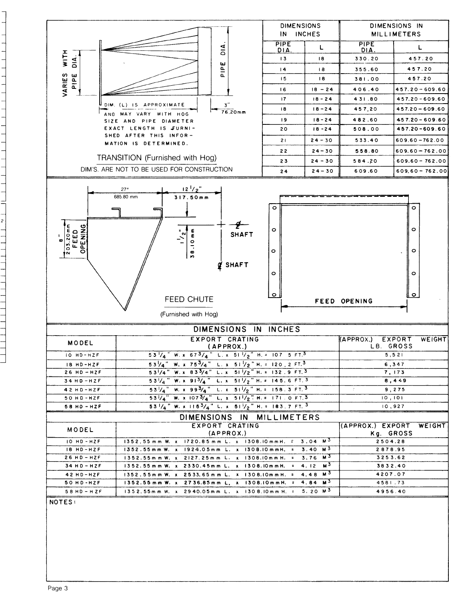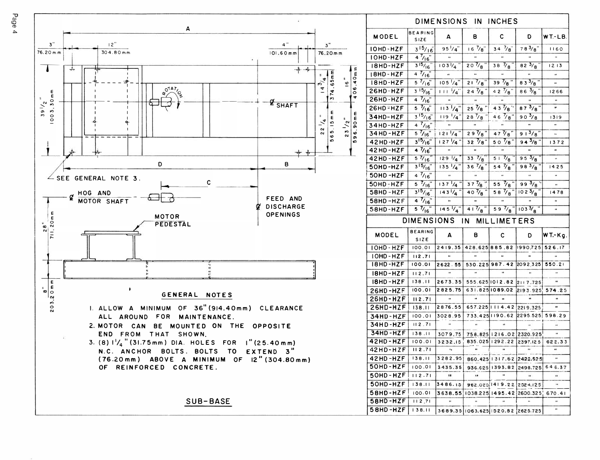

|                 |                        | DIMENSIONS IN INCHES    |                                   |                                               |                   |                      |
|-----------------|------------------------|-------------------------|-----------------------------------|-----------------------------------------------|-------------------|----------------------|
| MODEL           | BEARING<br><b>SIZE</b> | A                       | в                                 | с                                             | D                 | WT-LB.               |
| IOHD-HZF        | $3^{15}/16$            | 95 $\frac{1}{4}$        | $16\frac{7}{8}$                   | 34 $\frac{7}{8}$                              | 783/8"            | 1160                 |
| IOHD-HZF        | $4^{7}/16$             | $\ddot{\phantom{a}}$    |                                   |                                               |                   |                      |
| 18HD-HZF        | 315/16                 | $103\sqrt{4}$           | $20\frac{7}{8}$ "                 | 38 $\frac{7}{8}$                              | 82 $3/8$          | 1213                 |
| 18HD-HZF        | 47/16                  | a.                      |                                   |                                               |                   | u,                   |
| 18HD-HZF        | $5^{7}/16$             | 105'/4                  | $21\frac{7}{8}$                   | 39 $\frac{7}{8}$                              | $83^{3}/8$        | $\mathbf{a}$         |
| 26HD-HZF        | $3\frac{15}{16}$       | $111^{1/4}$             | $24\frac{7}{8}$                   | 4 2 $\frac{7}{8}$ "                           | $86\frac{3}{8}$ " | 1266                 |
| 26HD-HZF        | 47/16                  | H.                      |                                   |                                               |                   | $\mathbf{u}$         |
| 26HD-HZF        | $5 \frac{7}{6}$        | 113'/4                  |                                   | $25\frac{7}{8}$ $43\frac{7}{8}$               | 87 $3/8$          | u.                   |
| 34HD-HZF        | $3^{15}/16$            | $119^{+}/4"$            | $28\frac{7}{8}$                   | $46\frac{7}{8}$                               | $90\frac{3}{8}$   | 1319                 |
| 34HD-HZF        | 47/16                  | u.                      | $\ddot{\phantom{a}}$              |                                               |                   | à.                   |
| 34HD-HZF        | $5\frac{7}{16}$        | $121\frac{1}{4}$        | $29\sqrt{8}$                      | $47\frac{7}{8}$                               | 913/8             | $\ddot{\phantom{0}}$ |
| 42HD-HZF        | $3^{15}/16"$           | 127 74"                 | $32\frac{7}{8}$                   | 5 0 $\frac{7}{8}$ "                           | 94 $\frac{3}{8}$  | 1372                 |
| 42HD-HZF        | $4\frac{7}{16}$        |                         |                                   |                                               |                   |                      |
| 42HD-HZF        | 57/16                  | 129 / 4                 | $33 \frac{7}{8}$                  | $51\frac{7}{8}$                               | 95 $\frac{3}{8}$  |                      |
| 50HD-HZF        | 315/16                 | $135\sqrt{4}$           | $36\frac{7}{8}$ "                 | 54 $\frac{7}{8}$                              | 983/8             | 1425                 |
| 50HD-HZF        | 47/16                  | $\mathbf{u}$            | Ĥ,                                |                                               |                   |                      |
| 50HD-HZF        | $5\frac{7}{16}$        | $137\frac{1}{4}$        | $37\frac{7}{8}$                   | 55 $\frac{7}{8}$                              | 993/8             |                      |
| 58HD-HZF        | 315/16                 | $143^{1}/4$             | $40\frac{7}{8}$                   | 58 $\frac{7}{8}$                              | 1023/8            | 1478                 |
| 58HD-HZF        | 47/16                  | H.                      |                                   |                                               |                   | $\mathbf{u}$         |
| 58HD-HZF        | $\frac{5}{16}$         | $145\frac{1}{4}$        | $41\frac{7}{8}$                   | $59\frac{7}{8}$                               | $103\frac{3}{8}$  | u.                   |
|                 | <b>DIMENSIONS</b>      |                         | ΙN                                | <b>MILLIMETERS</b>                            |                   |                      |
| MODEL           | <b>BEARING</b><br>SIZE | A                       | в                                 | с                                             | D                 | <b>WT.-Kg.</b>       |
| IOHD-HZF        | 100.01                 | 2419.35                 |                                   | 428.625 885.82                                | 1990, 725         | 526.17               |
| IOHD-HZF        | 112.71                 |                         |                                   |                                               |                   |                      |
| 18HD-HZF        | 100.01                 | 2622.55                 |                                   | 530.225 987.42 2092.325                       |                   | 550.21               |
| I8HD-HZF        | 112.71                 | ò.                      |                                   |                                               |                   |                      |
| IBHD-HZF        | 138.11                 | 2673.35                 |                                   | 555.625 1012.82 2117.725                      |                   |                      |
| <b>26HD-HZF</b> | 100.01                 | 2825.75                 |                                   | 631.825 1089.02                               | 2193.925          | 574.25               |
| 26HD-HZF        | 112.71                 | ă,                      |                                   |                                               |                   |                      |
| 26HD-HZF        | 138.11                 | 2876.55                 |                                   | 657.225   114.42 2219.325                     |                   |                      |
| 34HD-HZF        | 100.01                 | 3028.95                 |                                   | 733.425 190.62                                | 2295.525          | 598.29               |
| 34HD-HZF        | 112.71                 | n,                      |                                   | $\ddot{\phantom{a}}$                          |                   | Ħ                    |
| 34HD-HZF        | 138.11                 |                         |                                   |                                               |                   |                      |
| 42HD-HZF        | 100.01                 | 3079.75<br>3232.15      |                                   | 758.825   216.02 2320.925<br>835.025   292.22 | 2397.125          | 622.33               |
| 42 H D - H Z F  | 112.71                 |                         |                                   |                                               |                   |                      |
| 42HD-HZF        | 138.11                 | 3282.95                 |                                   | 860.425   1317.62   2422.525                  |                   | $\mathbf{u}$         |
|                 | 100.01                 |                         |                                   |                                               |                   |                      |
| 50HD-HZF        |                        | 3435.35<br>$\mathbf{u}$ | $\pmb{\cdots}$                    | 936.625 1393.82 2498.725                      |                   | 646.37               |
| 50HD-HZF        | 112.71                 |                         |                                   |                                               |                   | $\ddot{\phantom{1}}$ |
| 50HD-HZF        | 138.11                 | 3486.15                 |                                   | 962.025   1419.22   2524.125                  |                   | n                    |
| 58HD-HZF        | 100.01                 |                         |                                   | 3638.55 1038.225 1495.42 2600.325             |                   | 670.41               |
| 58HD-HZF        | 112,71                 | u                       | n,                                | u,                                            |                   |                      |
| 58HD-HZF        | 138.11                 |                         | 3689.35 1063.625 1520.82 2625.725 |                                               |                   | u,                   |